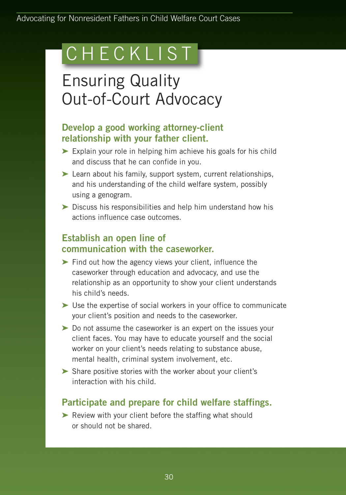# C H E C K L I S T

## Ensuring Quality Out-of-Court Advocacy

### **Develop a good working attorney-client relationship with your father client.**

- **➤** Explain your role in helping him achieve his goals for his child and discuss that he can confide in you.
- **➤** Learn about his family, support system, current relationships, and his understanding of the child welfare system, possibly using a genogram.
- **➤** Discuss his responsibilities and help him understand how his actions influence case outcomes.

### **Establish an open line of communication with the caseworker.**

- **➤** Find out how the agency views your client, influence the caseworker through education and advocacy, and use the relationship as an opportunity to show your client understands his child's needs.
- **➤** Use the expertise of social workers in your office to communicate your client's position and needs to the caseworker.
- **➤** Do not assume the caseworker is an expert on the issues your client faces. You may have to educate yourself and the social worker on your client's needs relating to substance abuse, mental health, criminal system involvement, etc.
- **➤** Share positive stories with the worker about your client's interaction with his child.

### **Participate and prepare for child welfare staffings.**

**➤** Review with your client before the staffing what should or should not be shared.